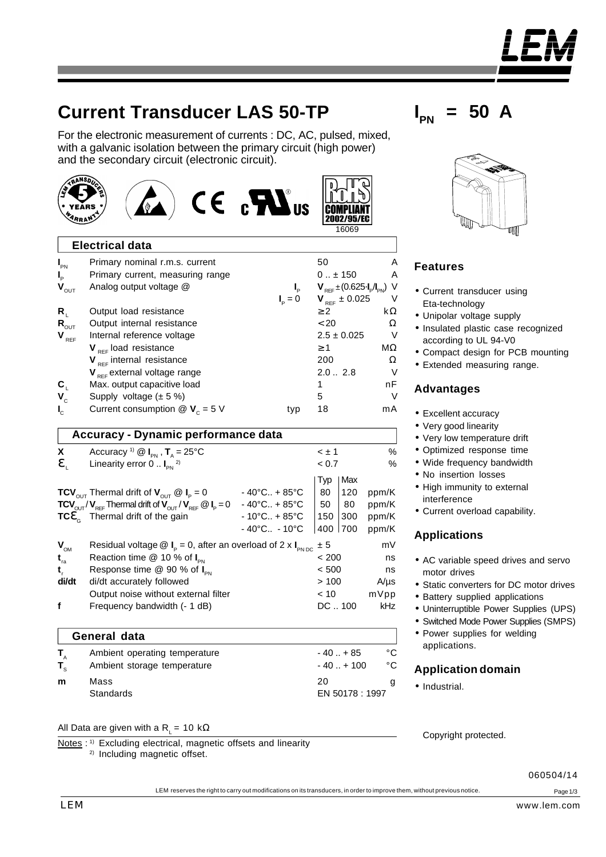# **Current Transducer LAS 50-TP**

TRANSDUC

For the electronic measurement of currents : DC, AC, pulsed, mixed, with a galvanic isolation between the primary circuit (high power) and the secondary circuit (electronic circuit).

| YEARS                            |                                                               | $CE_{c}$ $M_{us}$ | 16069                                                  |    |
|----------------------------------|---------------------------------------------------------------|-------------------|--------------------------------------------------------|----|
|                                  | <b>Electrical data</b>                                        |                   |                                                        |    |
| $I_{PN}$                         | Primary nominal r.m.s. current                                |                   | 50                                                     | Α  |
| $\mathbf{l}_{\mathsf{p}}$        | Primary current, measuring range                              |                   | $0 \pm 150$                                            | A  |
| $\mathbf{V}_{\text{OUT}}$        | Analog output voltage @                                       |                   | $V_{\text{ref}} \pm (0.625 \cdot I_p/I_{\text{PN}})$ V |    |
|                                  |                                                               | $I_{n} = 0$       | $V_{REF} \pm 0.025$                                    | V  |
| $R_{1}$                          | Output load resistance                                        |                   | $\geq 2$                                               | kΩ |
| $\mathbf{R}_{\text{OUT}}$        | Output internal resistance                                    |                   | < 20                                                   | Ω  |
| $\mathbf{V}_{\text{\tiny{REF}}}$ | Internal reference voltage                                    |                   | $2.5 \pm 0.025$                                        | V  |
|                                  | $V_{\text{ref}}$ load resistance                              |                   | $\geq 1$                                               | МΩ |
|                                  | $V_{RFF}$ internal resistance                                 |                   | 200                                                    | Ω  |
|                                  | $V_{RFF}$ external voltage range                              |                   | $2.0-.2.8$                                             | V  |
| $\mathbf{C}_{1}$                 | Max. output capacitive load                                   |                   |                                                        | nF |
| $V_{\rm c}$                      | Supply voltage $(\pm 5\%)$                                    |                   | 5                                                      | V  |
|                                  | Current consumption $\mathcal{Q}$ <b>V</b> <sub>c</sub> = 5 V | typ               | 18                                                     | mA |

|                  | Accuracy - Dynamic performance data                                                                         |                                   |              |     |           |  |  |  |  |
|------------------|-------------------------------------------------------------------------------------------------------------|-----------------------------------|--------------|-----|-----------|--|--|--|--|
| X.               | Accuracy <sup>1)</sup> @ $I_{\text{pN}}$ , $T_{\text{A}} = 25^{\circ}$ C                                    |                                   | $\leq \pm 1$ |     | %         |  |  |  |  |
| $\mathbf{e}_{i}$ | Linearity error $0 \dots I_{\text{on}}^{2}$                                                                 |                                   | < 0.7        |     | %         |  |  |  |  |
|                  |                                                                                                             |                                   | Typ          | Max |           |  |  |  |  |
|                  | <b>TCV</b> <sub>OUT</sub> Thermal drift of $V_{\text{OUT}} \otimes I_{\text{p}} = 0$                        | $-40^{\circ}$ C + 85 $^{\circ}$ C | 80           | 120 | ppm/K     |  |  |  |  |
|                  | $TCV_{\text{OUT}}/V_{\text{RFE}}$ Thermal drift of $V_{\text{OUT}}/V_{\text{RFE}} \otimes I_{\text{P}} = 0$ | $-40^{\circ}$ C + 85 $^{\circ}$ C | 50           | 80  | ppm/K     |  |  |  |  |
|                  | $TC\mathbf{e}_n$ Thermal drift of the gain                                                                  | $-10^{\circ}$ C + 85 $^{\circ}$ C | 150          | 300 | ppm/K     |  |  |  |  |
|                  |                                                                                                             | $-40^{\circ}$ C $-10^{\circ}$ C   | 400 700      |     | ppm/K     |  |  |  |  |
| $V_{OM}$         | Residual voltage $\textcircled{1}_{p}$ = 0, after an overload of 2 x $\text{I}_{p\text{N DC}}$ ± 5          |                                   |              |     | mV        |  |  |  |  |
| $t_{\rm ra}$     | Reaction time $@$ 10 % of $I_{\text{av}}$                                                                   |                                   | < 200        |     | ns        |  |  |  |  |
| $t_{\rm r}$      | Response time $@$ 90 % of $I_{\text{PN}}$                                                                   |                                   | < 500        |     | ns        |  |  |  |  |
| di/dt            | di/dt accurately followed                                                                                   |                                   | >100         |     | $A/\mu s$ |  |  |  |  |
|                  | Output noise without external filter                                                                        |                                   | < 10         |     | mVpp      |  |  |  |  |
| f                | Frequency bandwidth (- 1 dB)                                                                                |                                   | $DC1$ . 100  |     | kHz       |  |  |  |  |

|                   | General data                                                 |                             |          |  |  |  |  |  |
|-------------------|--------------------------------------------------------------|-----------------------------|----------|--|--|--|--|--|
| T.<br>$T_{\rm c}$ | Ambient operating temperature<br>Ambient storage temperature | $-40. + 85$<br>$-40. + 100$ | °C<br>°C |  |  |  |  |  |
| m                 | Mass<br><b>Standards</b>                                     | 20<br>EN 50178 : 1997       | g        |  |  |  |  |  |

#### All Data are given with a R<sub>i</sub> = 10 kΩ

2) Including magnetic offset.

 $I_{PN}$  = 50 A



### **Features**

<u>החות</u>

- Current transducer using Eta-technology
- Unipolar voltage supply
- Insulated plastic case recognized according to UL 94-V0
- Compact design for PCB mounting
- Extended measuring range.

#### **Advantages**

- Excellent accuracy
- Very good linearity
- Very low temperature drift
- Optimized response time
- Wide frequency bandwidth
- No insertion losses
- High immunity to external interference
- Current overload capability.

#### **Applications**

- AC variable speed drives and servo motor drives
- Static converters for DC motor drives
- Battery supplied applications
- Uninterruptible Power Supplies (UPS)
- Switched Mode Power Supplies (SMPS)
- Power supplies for welding applications.

#### **Application domain**

• Industrial.

Copyright protected.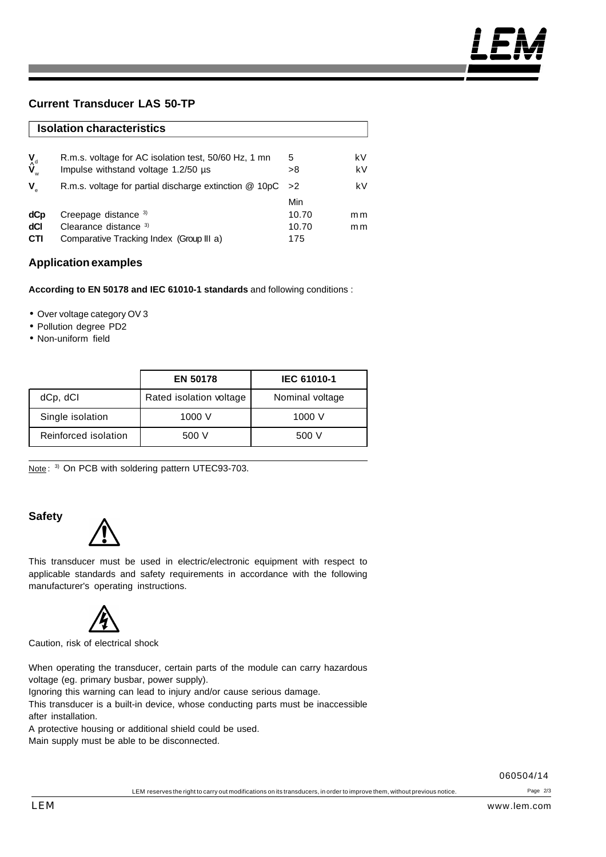### **Current Transducer LAS 50-TP**

|                                      | <b>Isolation characteristics</b>                         |       |     |  |  |  |  |  |
|--------------------------------------|----------------------------------------------------------|-------|-----|--|--|--|--|--|
| $\mathbf{v}_{\text{d}}^{\mathbf{v}}$ | R.m.s. voltage for AC isolation test, 50/60 Hz, 1 mn     | 5     | k٧  |  |  |  |  |  |
|                                      | Impulse withstand voltage 1.2/50 us                      | >8    | kV  |  |  |  |  |  |
| V                                    | R.m.s. voltage for partial discharge extinction $@$ 10pC | >2    | kV  |  |  |  |  |  |
|                                      |                                                          | Min   |     |  |  |  |  |  |
| dCp                                  | Creepage distance 3)                                     | 10.70 | m m |  |  |  |  |  |
| dCl                                  | Clearance distance 3)                                    | 10.70 | m m |  |  |  |  |  |
| <b>CTI</b>                           | Comparative Tracking Index (Group III a)                 | 175   |     |  |  |  |  |  |

#### **Application examples**

**According to EN 50178 and IEC 61010-1 standards** and following conditions :

- Over voltage category OV 3
- Pollution degree PD2
- Non-uniform field

|                      | <b>EN 50178</b>         | <b>IEC 61010-1</b> |  |  |
|----------------------|-------------------------|--------------------|--|--|
| dCp, dCl             | Rated isolation voltage | Nominal voltage    |  |  |
| Single isolation     | 1000 V                  | 1000 V             |  |  |
| Reinforced isolation | 500 V                   | 500 V              |  |  |

Note: 3) On PCB with soldering pattern UTEC93-703.

# **Safety**



This transducer must be used in electric/electronic equipment with respect to applicable standards and safety requirements in accordance with the following manufacturer's operating instructions.



Caution, risk of electrical shock

When operating the transducer, certain parts of the module can carry hazardous voltage (eg. primary busbar, power supply).

Ignoring this warning can lead to injury and/or cause serious damage.

This transducer is a built-in device, whose conducting parts must be inaccessible after installation.

A protective housing or additional shield could be used.

Main supply must be able to be disconnected.

060504/14